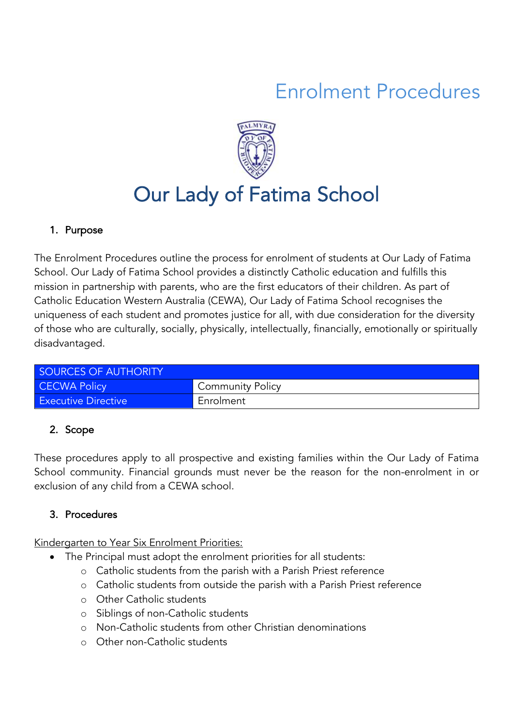# Enrolment Procedures



# Our Lady of Fatima School

#### 1. Purpose

The Enrolment Procedures outline the process for enrolment of students at Our Lady of Fatima School. Our Lady of Fatima School provides a distinctly Catholic education and fulfills this mission in partnership with parents, who are the first educators of their children. As part of Catholic Education Western Australia (CEWA), Our Lady of Fatima School recognises the uniqueness of each student and promotes justice for all, with due consideration for the diversity of those who are culturally, socially, physically, intellectually, financially, emotionally or spiritually disadvantaged.

| SOURCES OF AUTHORITY       |                         |  |  |  |
|----------------------------|-------------------------|--|--|--|
| <b>CECWA Policy</b>        | <b>Community Policy</b> |  |  |  |
| <b>Executive Directive</b> | Enrolment               |  |  |  |

### 2. Scope

These procedures apply to all prospective and existing families within the Our Lady of Fatima School community. Financial grounds must never be the reason for the non-enrolment in or exclusion of any child from a CEWA school.

### 3. Procedures

Kindergarten to Year Six Enrolment Priorities:

- The Principal must adopt the enrolment priorities for all students:
	- o Catholic students from the parish with a Parish Priest reference
	- o Catholic students from outside the parish with a Parish Priest reference
	- o Other Catholic students
	- o Siblings of non-Catholic students
	- o Non-Catholic students from other Christian denominations
	- o Other non-Catholic students